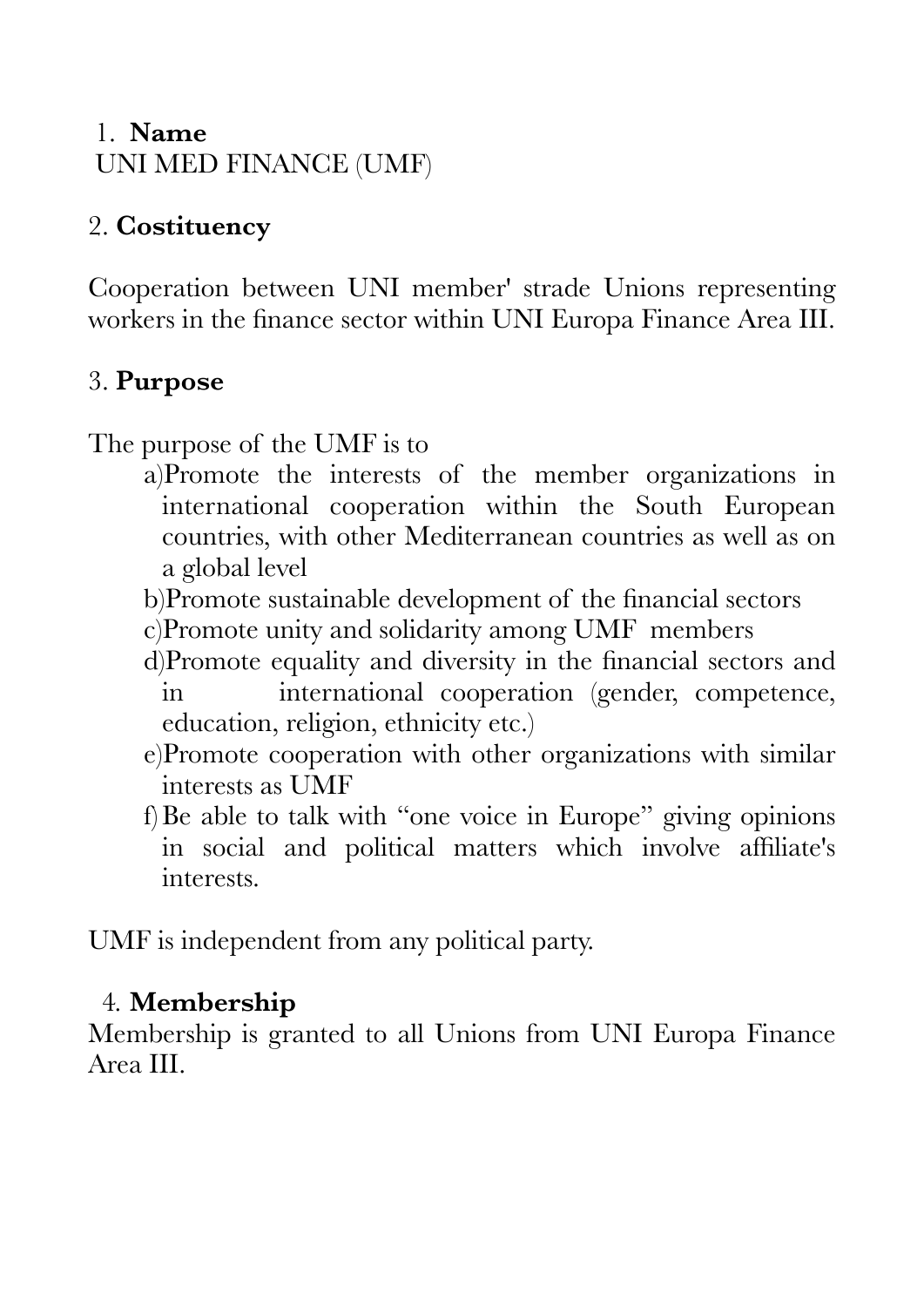### 1. **Name**  UNI MED FINANCE (UMF)

# 2. **Costituency**

Cooperation between UNI member' strade Unions representing workers in the finance sector within UNI Europa Finance Area III.

# 3. **Purpose**

The purpose of the UMF is to

- a)Promote the interests of the member organizations in international cooperation within the South European countries, with other Mediterranean countries as well as on a global level
- b)Promote sustainable development of the financial sectors
- c)Promote unity and solidarity among UMF members
- d)Promote equality and diversity in the financial sectors and in international cooperation (gender, competence, education, religion, ethnicity etc.)
- e)Promote cooperation with other organizations with similar interests as UMF
- f)Be able to talk with "one voice in Europe" giving opinions in social and political matters which involve affiliate's interests.

UMF is independent from any political party.

#### 4*.* **Membership**

Membership is granted to all Unions from UNI Europa Finance Area III.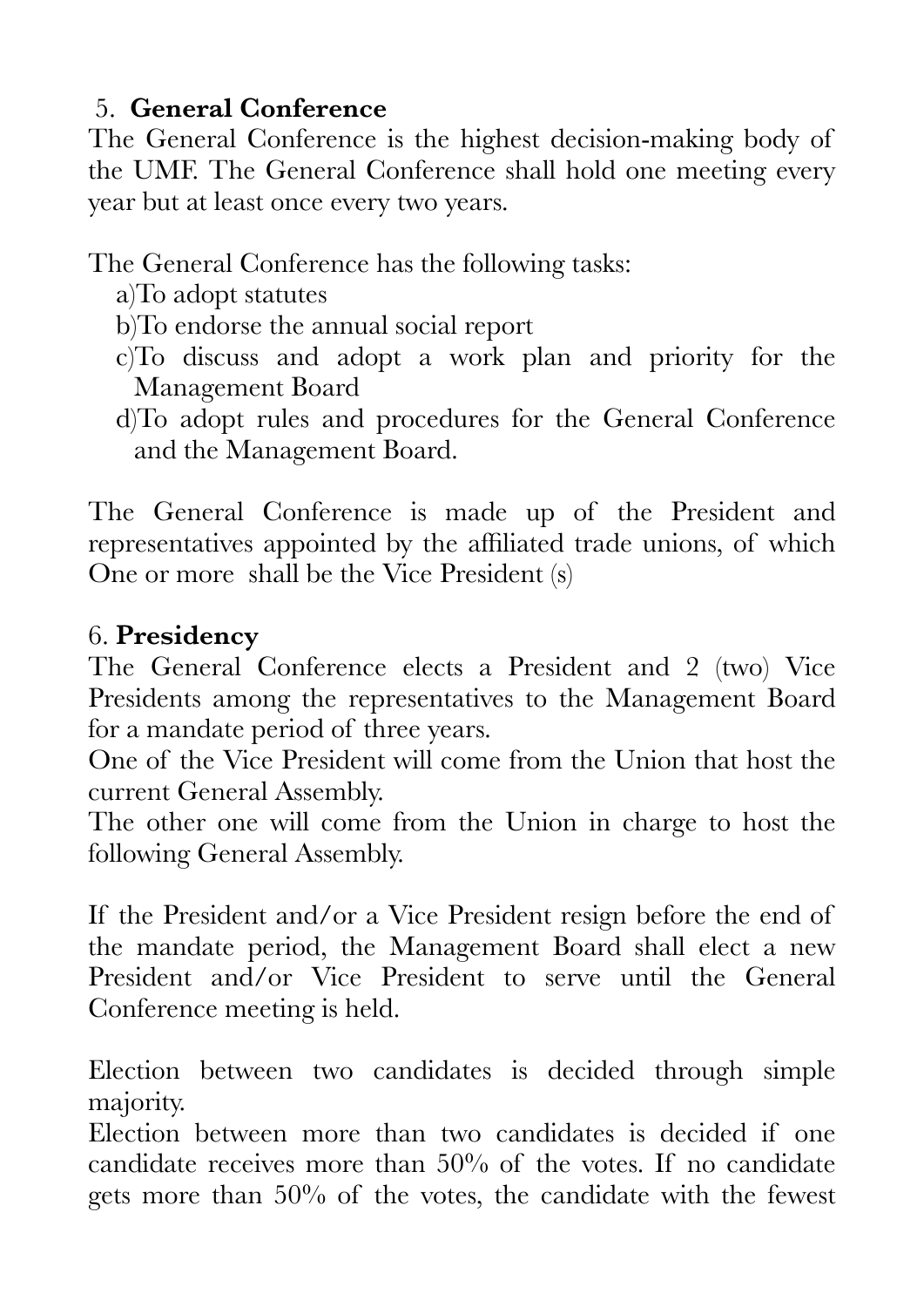# 5. **General Conference**

The General Conference is the highest decision-making body of the UMF. The General Conference shall hold one meeting every year but at least once every two years.

The General Conference has the following tasks:

- a)To adopt statutes
- b)To endorse the annual social report
- c)To discuss and adopt a work plan and priority for the Management Board
- d)To adopt rules and procedures for the General Conference and the Management Board.

The General Conference is made up of the President and representatives appointed by the affiliated trade unions, of which One or more shall be the Vice President (s)

### 6. **Presidency**

The General Conference elects a President and 2 (two) Vice Presidents among the representatives to the Management Board for a mandate period of three years.

One of the Vice President will come from the Union that host the current General Assembly.

The other one will come from the Union in charge to host the following General Assembly.

If the President and/or a Vice President resign before the end of the mandate period, the Management Board shall elect a new President and/or Vice President to serve until the General Conference meeting is held.

Election between two candidates is decided through simple majority.

Election between more than two candidates is decided if one candidate receives more than 50% of the votes. If no candidate gets more than 50% of the votes, the candidate with the fewest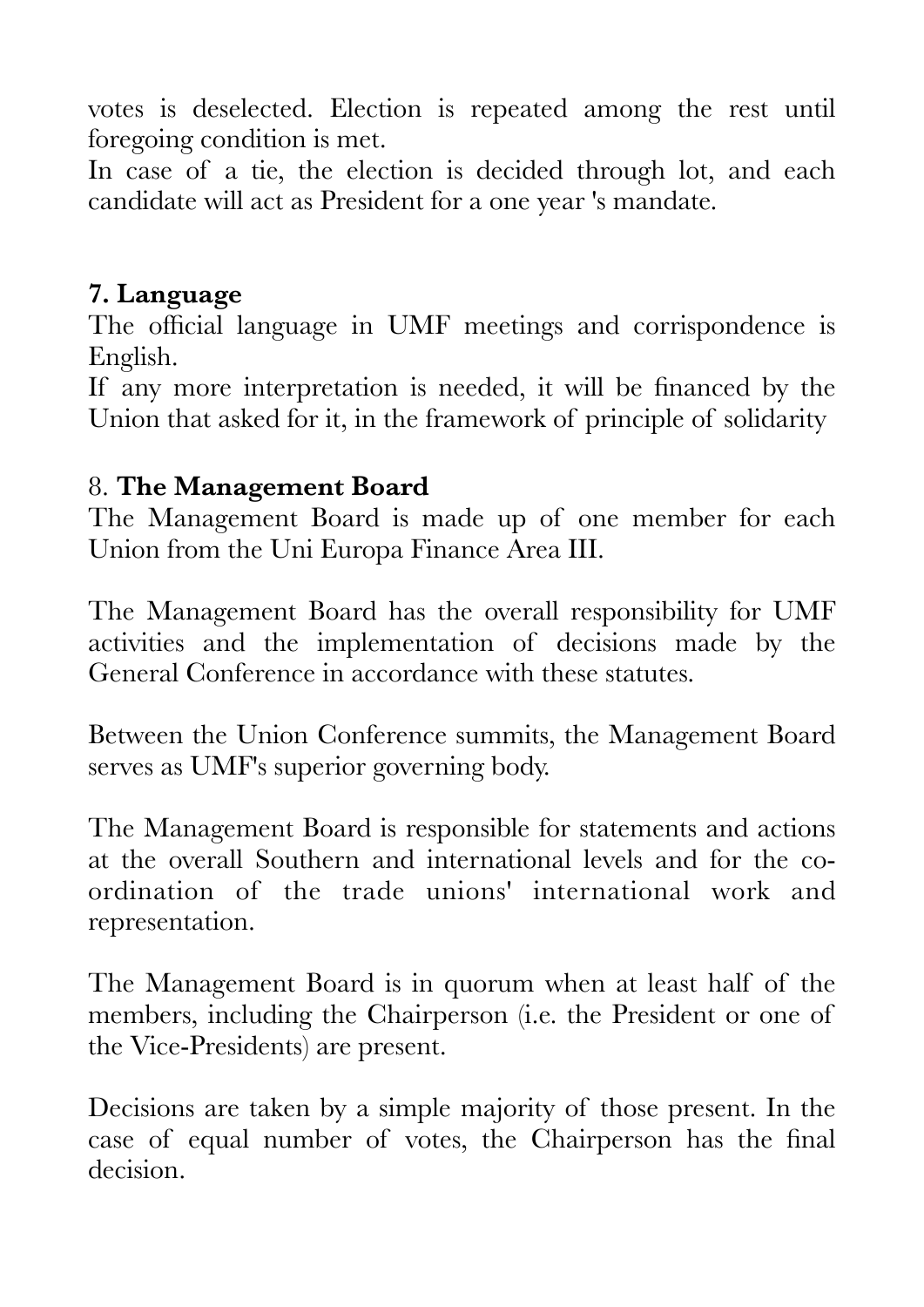votes is deselected. Election is repeated among the rest until foregoing condition is met.

In case of a tie, the election is decided through lot, and each candidate will act as President for a one year 's mandate.

#### **7. Language**

The official language in UMF meetings and corrispondence is English.

If any more interpretation is needed, it will be financed by the Union that asked for it, in the framework of principle of solidarity

### 8. **The Management Board**

The Management Board is made up of one member for each Union from the Uni Europa Finance Area III.

The Management Board has the overall responsibility for UMF activities and the implementation of decisions made by the General Conference in accordance with these statutes.

Between the Union Conference summits, the Management Board serves as UMF's superior governing body.

The Management Board is responsible for statements and actions at the overall Southern and international levels and for the coordination of the trade unions' international work and representation.

The Management Board is in quorum when at least half of the members, including the Chairperson (i.e. the President or one of the Vice-Presidents) are present.

Decisions are taken by a simple majority of those present. In the case of equal number of votes, the Chairperson has the final decision.